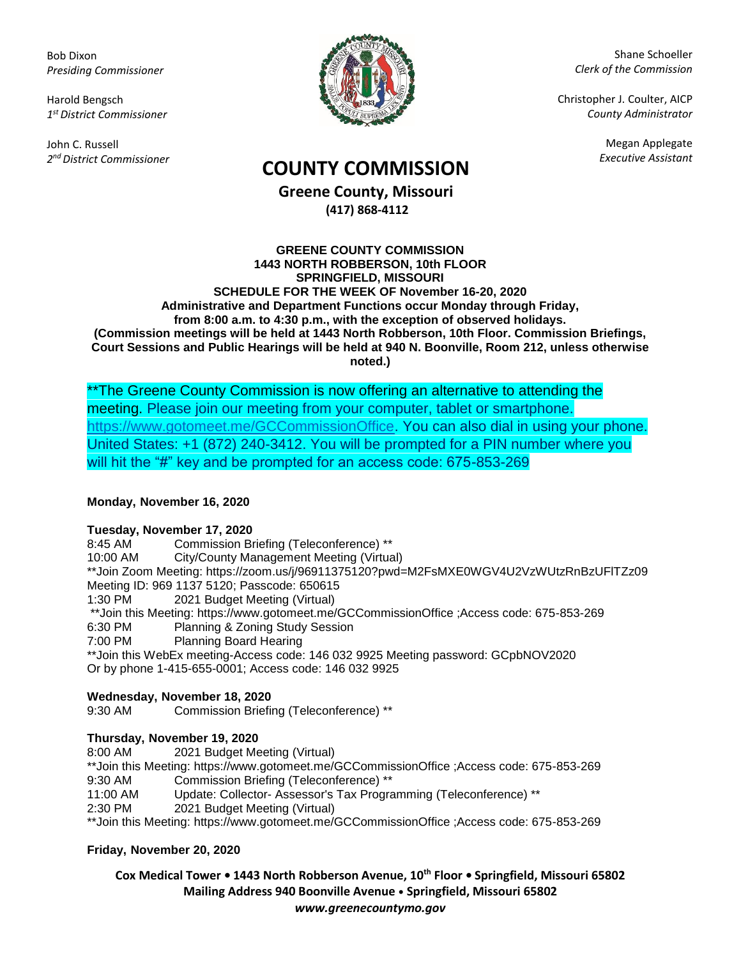Bob Dixon *Presiding Commissioner*

Harold Bengsch *1 st District Commissioner*

John C. Russell *2 nd District Commissioner*



Shane Schoeller *Clerk of the Commission*

Christopher J. Coulter, AICP *County Administrator*

Megan Applegate

# *Executive Assistant* **COUNTY COMMISSION**

**Greene County, Missouri (417) 868-4112**

### **GREENE COUNTY COMMISSION 1443 NORTH ROBBERSON, 10th FLOOR SPRINGFIELD, MISSOURI SCHEDULE FOR THE WEEK OF November 16-20, 2020 Administrative and Department Functions occur Monday through Friday, from 8:00 a.m. to 4:30 p.m., with the exception of observed holidays. (Commission meetings will be held at 1443 North Robberson, 10th Floor. Commission Briefings, Court Sessions and Public Hearings will be held at 940 N. Boonville, Room 212, unless otherwise noted.)**

\*\*The Greene County Commission is now offering an alternative to attending the meeting. Please join our meeting from your computer, tablet or smartphone. [https://www.gotomeet.me/GCCommissionOffice.](https://www.gotomeet.me/GCCommissionOffice) You can also dial in using your phone. United States: +1 (872) 240-3412. You will be prompted for a PIN number where you will hit the "#" key and be prompted for an access code: 675-853-269

## **Monday, November 16, 2020**

**Tuesday, November 17, 2020** Commission Briefing (Teleconference) \*\* 10:00 AM City/County Management Meeting (Virtual) \*\*Join Zoom Meeting: https://zoom.us/j/96911375120?pwd=M2FsMXE0WGV4U2VzWUtzRnBzUFlTZz09 Meeting ID: 969 1137 5120; Passcode: 650615 1:30 PM 2021 Budget Meeting (Virtual) \*\*Join this Meeting: https://www.gotomeet.me/GCCommissionOffice ;Access code: 675-853-269 6:30 PM Planning & Zoning Study Session 7:00 PM Planning Board Hearing \*\*Join this WebEx meeting-Access code: 146 032 9925 Meeting password: GCpbNOV2020 Or by phone 1-415-655-0001; Access code: 146 032 9925

## **Wednesday, November 18, 2020**

9:30 AM Commission Briefing (Teleconference) \*\*

## **Thursday, November 19, 2020**

8:00 AM 2021 Budget Meeting (Virtual) \*\*Join this Meeting: https://www.gotomeet.me/GCCommissionOffice ;Access code: 675-853-269 9:30 AM Commission Briefing (Teleconference) \*\*

11:00 AM Update: Collector- Assessor's Tax Programming (Teleconference) \*\*

2:30 PM 2021 Budget Meeting (Virtual)

\*\*Join this Meeting: https://www.gotomeet.me/GCCommissionOffice ;Access code: 675-853-269

## **Friday, November 20, 2020**

**Cox Medical Tower • 1443 North Robberson Avenue, 10th Floor • Springfield, Missouri 65802 Mailing Address 940 Boonville Avenue • Springfield, Missouri 65802** *www.greenecountymo.gov*